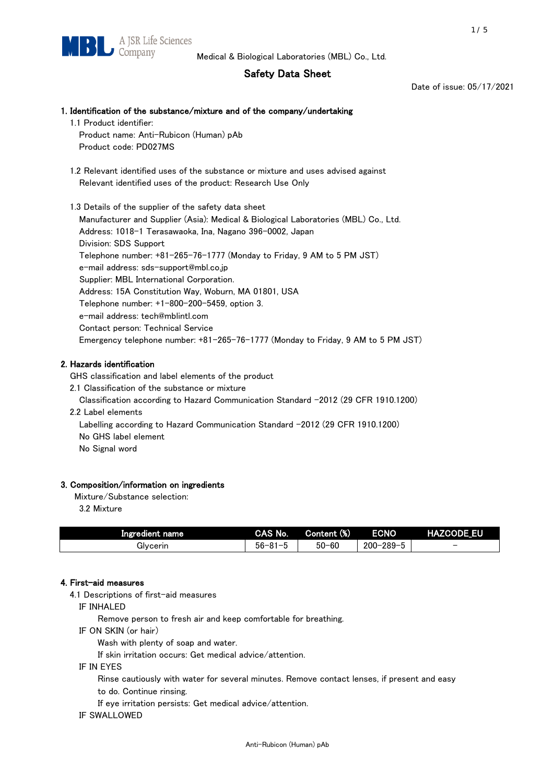# Safety Data Sheet

Date of issue: 05/17/2021

# 1. Identification of the substance/mixture and of the company/undertaking 1.1 Product identifier:

Product name: Anti-Rubicon (Human) pAb Product code: PD027MS

 1.2 Relevant identified uses of the substance or mixture and uses advised against Relevant identified uses of the product: Research Use Only

 1.3 Details of the supplier of the safety data sheet Manufacturer and Supplier (Asia): Medical & Biological Laboratories (MBL) Co., Ltd. Address: 1018-1 Terasawaoka, Ina, Nagano 396-0002, Japan Division: SDS Support Telephone number: +81-265-76-1777 (Monday to Friday, 9 AM to 5 PM JST) e-mail address: sds-support@mbl.co.jp Supplier: MBL International Corporation. Address: 15A Constitution Way, Woburn, MA 01801, USA Telephone number: +1-800-200-5459, option 3. e-mail address: tech@mblintl.com Contact person: Technical Service Emergency telephone number: +81-265-76-1777 (Monday to Friday, 9 AM to 5 PM JST)

# 2. Hazards identification

GHS classification and label elements of the product

2.1 Classification of the substance or mixture

Classification according to Hazard Communication Standard -2012 (29 CFR 1910.1200)

2.2 Label elements

Labelling according to Hazard Communication Standard -2012 (29 CFR 1910.1200) No GHS label element

No Signal word

### 3. Composition/information on ingredients

Mixture/Substance selection:

3.2 Mixture

| Ingredient name | CAS No.             | Content (%) | <b>ECNO</b>                                              | <b>HAZCODE_EU</b>        |
|-----------------|---------------------|-------------|----------------------------------------------------------|--------------------------|
| Glvcerin        | $56 - 81 -$<br>ິບ ເ | $50 - 60$   | $-289 - 1$<br>$200 - 2$<br>$\overline{\phantom{0}}$<br>v | $\overline{\phantom{0}}$ |

### 4. First-aid measures

4.1 Descriptions of first-aid measures

IF INHALED

Remove person to fresh air and keep comfortable for breathing.

IF ON SKIN (or hair)

Wash with plenty of soap and water.

If skin irritation occurs: Get medical advice/attention.

IF IN EYES

Rinse cautiously with water for several minutes. Remove contact lenses, if present and easy

to do. Continue rinsing.

If eye irritation persists: Get medical advice/attention.

IF SWALLOWED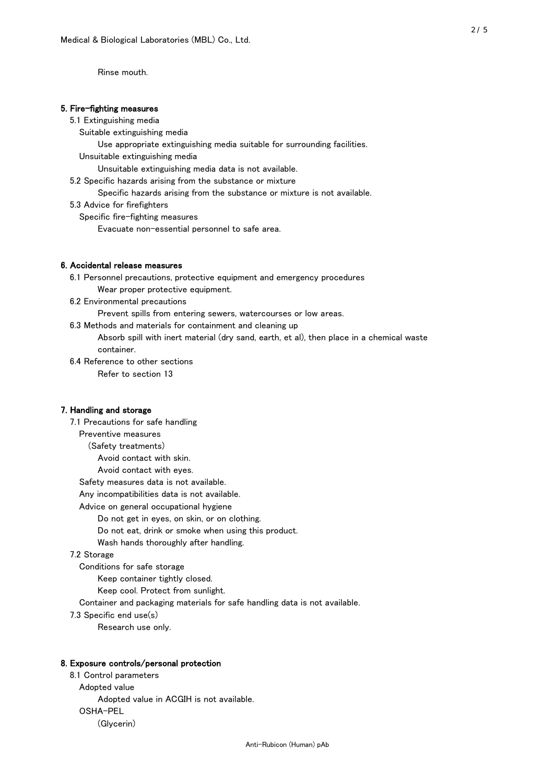Rinse mouth.

#### 5. Fire-fighting measures

#### 5.1 Extinguishing media

Suitable extinguishing media

- Use appropriate extinguishing media suitable for surrounding facilities.
- Unsuitable extinguishing media

Unsuitable extinguishing media data is not available.

5.2 Specific hazards arising from the substance or mixture

Specific hazards arising from the substance or mixture is not available.

5.3 Advice for firefighters

Specific fire-fighting measures

Evacuate non-essential personnel to safe area.

#### 6. Accidental release measures

 6.1 Personnel precautions, protective equipment and emergency procedures Wear proper protective equipment.

6.2 Environmental precautions

Prevent spills from entering sewers, watercourses or low areas.

6.3 Methods and materials for containment and cleaning up

 Absorb spill with inert material (dry sand, earth, et al), then place in a chemical waste container.

6.4 Reference to other sections

Refer to section 13

#### 7. Handling and storage

 7.1 Precautions for safe handling Preventive measures (Safety treatments) Avoid contact with skin. Avoid contact with eyes. Safety measures data is not available. Any incompatibilities data is not available. Advice on general occupational hygiene Do not get in eyes, on skin, or on clothing. Do not eat, drink or smoke when using this product. Wash hands thoroughly after handling. 7.2 Storage Conditions for safe storage Keep container tightly closed.

Keep cool. Protect from sunlight.

Container and packaging materials for safe handling data is not available.

7.3 Specific end use(s)

Research use only.

#### 8. Exposure controls/personal protection

 8.1 Control parameters Adopted value Adopted value in ACGIH is not available. OSHA-PEL (Glycerin)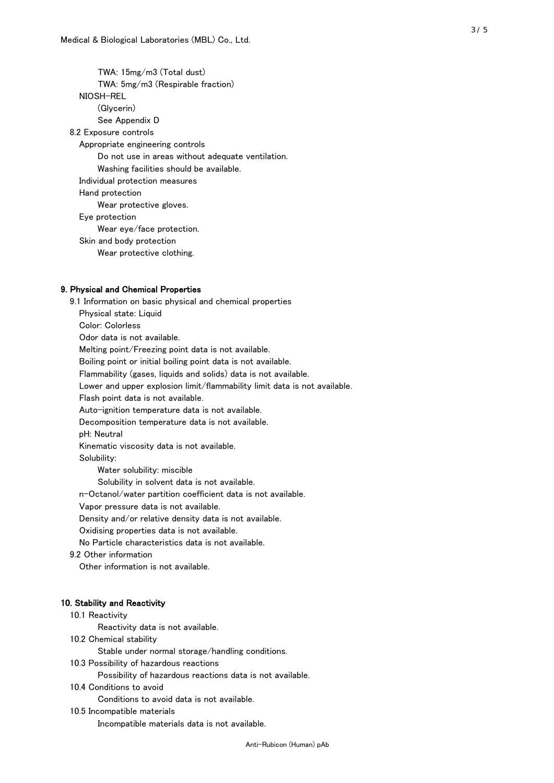TWA: 15mg/m3 (Total dust) TWA: 5mg/m3 (Respirable fraction) NIOSH-REL (Glycerin) See Appendix D 8.2 Exposure controls Appropriate engineering controls Do not use in areas without adequate ventilation. Washing facilities should be available. Individual protection measures Hand protection Wear protective gloves. Eye protection Wear eye/face protection. Skin and body protection Wear protective clothing.

### 9. Physical and Chemical Properties

 9.1 Information on basic physical and chemical properties Physical state: Liquid Color: Colorless Odor data is not available. Melting point/Freezing point data is not available. Boiling point or initial boiling point data is not available. Flammability (gases, liquids and solids) data is not available. Lower and upper explosion limit/flammability limit data is not available. Flash point data is not available. Auto-ignition temperature data is not available. Decomposition temperature data is not available. pH: Neutral Kinematic viscosity data is not available. Solubility: Water solubility: miscible Solubility in solvent data is not available. n-Octanol/water partition coefficient data is not available. Vapor pressure data is not available. Density and/or relative density data is not available. Oxidising properties data is not available. No Particle characteristics data is not available. 9.2 Other information Other information is not available. 10. Stability and Reactivity 10.1 Reactivity Reactivity data is not available. 10.2 Chemical stability Stable under normal storage/handling conditions. 10.3 Possibility of hazardous reactions Possibility of hazardous reactions data is not available.

10.4 Conditions to avoid

Conditions to avoid data is not available.

10.5 Incompatible materials

Incompatible materials data is not available.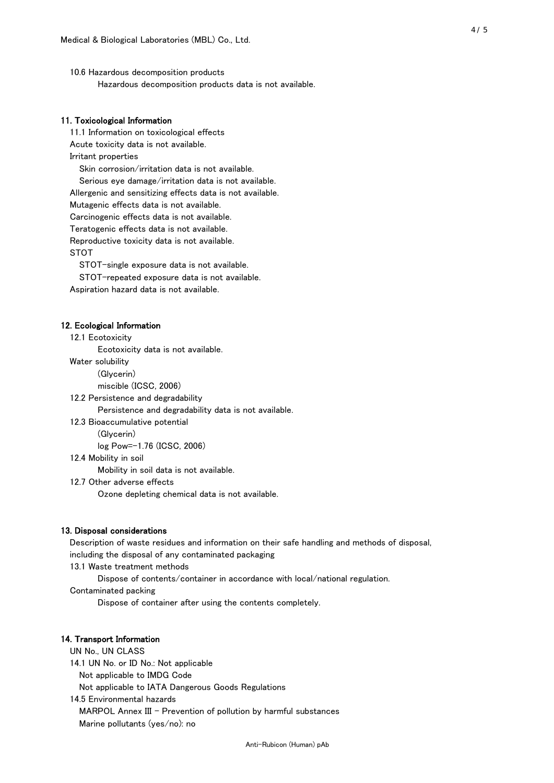10.6 Hazardous decomposition products Hazardous decomposition products data is not available.

### 11. Toxicological Information

 11.1 Information on toxicological effects Acute toxicity data is not available. Irritant properties Skin corrosion/irritation data is not available. Serious eye damage/irritation data is not available. Allergenic and sensitizing effects data is not available. Mutagenic effects data is not available. Carcinogenic effects data is not available. Teratogenic effects data is not available. Reproductive toxicity data is not available. STOT

STOT-single exposure data is not available.

STOT-repeated exposure data is not available.

Aspiration hazard data is not available.

#### 12. Ecological Information

12.1 Ecotoxicity

Ecotoxicity data is not available.

Water solubility

(Glycerin)

miscible (ICSC, 2006)

12.2 Persistence and degradability

Persistence and degradability data is not available.

12.3 Bioaccumulative potential

(Glycerin)

log Pow=-1.76 (ICSC, 2006)

12.4 Mobility in soil

Mobility in soil data is not available.

12.7 Other adverse effects

Ozone depleting chemical data is not available.

#### 13. Disposal considerations

 Description of waste residues and information on their safe handling and methods of disposal, including the disposal of any contaminated packaging

13.1 Waste treatment methods

Dispose of contents/container in accordance with local/national regulation.

Contaminated packing

Dispose of container after using the contents completely.

#### 14. Transport Information

 UN No., UN CLASS 14.1 UN No. or ID No.: Not applicable Not applicable to IMDG Code Not applicable to IATA Dangerous Goods Regulations

 14.5 Environmental hazards MARPOL Annex III - Prevention of pollution by harmful substances Marine pollutants (yes/no): no